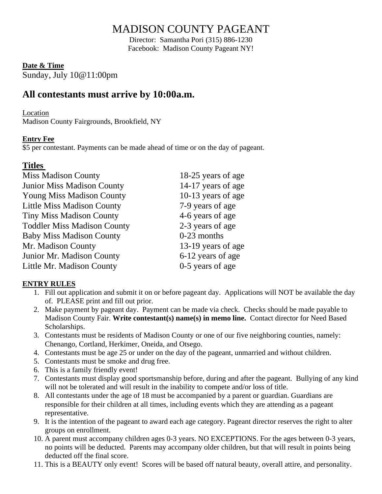# MADISON COUNTY PAGEANT

Director: Samantha Pori (315) 886-1230 Facebook: Madison County Pageant NY!

#### **Date & Time**

Sunday, July 10@11:00pm

## **All contestants must arrive by 10:00a.m.**

#### Location

Madison County Fairgrounds, Brookfield, NY

#### **Entry Fee**

\$5 per contestant. Payments can be made ahead of time or on the day of pageant.

### **Titles**

| 18-25 years of age |
|--------------------|
| 14-17 years of age |
| 10-13 years of age |
| 7-9 years of age   |
| 4-6 years of age   |
| 2-3 years of age   |
| $0-23$ months      |
| 13-19 years of age |
| 6-12 years of age  |
| 0-5 years of age   |
|                    |

#### **ENTRY RULES**

- 1. Fill out application and submit it on or before pageant day. Applications will NOT be available the day of. PLEASE print and fill out prior.
- 2. Make payment by pageant day. Payment can be made via check. Checks should be made payable to Madison County Fair. **Write contestant(s) name(s) in memo line.** Contact director for Need Based Scholarships.
- 3. Contestants must be residents of Madison County or one of our five neighboring counties, namely: Chenango, Cortland, Herkimer, Oneida, and Otsego.
- 4. Contestants must be age 25 or under on the day of the pageant, unmarried and without children.
- 5. Contestants must be smoke and drug free.
- 6. This is a family friendly event!
- 7. Contestants must display good sportsmanship before, during and after the pageant. Bullying of any kind will not be tolerated and will result in the inability to compete and/or loss of title.
- 8. All contestants under the age of 18 must be accompanied by a parent or guardian. Guardians are responsible for their children at all times, including events which they are attending as a pageant representative.
- 9. It is the intention of the pageant to award each age category. Pageant director reserves the right to alter groups on enrollment.
- 10. A parent must accompany children ages 0-3 years. NO EXCEPTIONS. For the ages between 0-3 years, no points will be deducted. Parents may accompany older children, but that will result in points being deducted off the final score.
- 11. This is a BEAUTY only event! Scores will be based off natural beauty, overall attire, and personality.